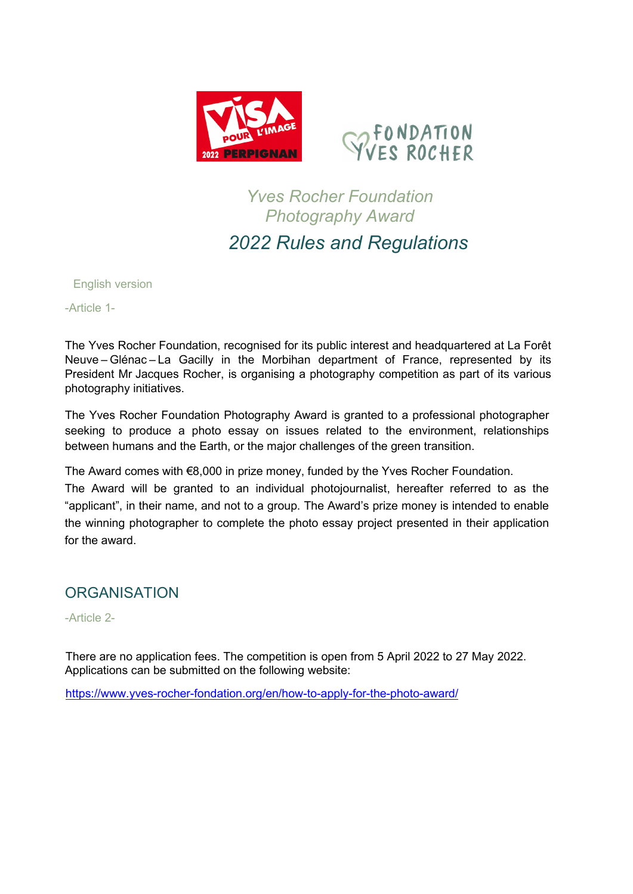



# *Yves Rocher Foundation Photography Award 2022 Rules and Regulations*

English version

-Article 1-

The Yves Rocher Foundation, recognised for its public interest and headquartered at La Forêt Neuve – Glénac – La Gacilly in the Morbihan department of France, represented by its President Mr Jacques Rocher, is organising a photography competition as part of its various photography initiatives.

The Yves Rocher Foundation Photography Award is granted to a professional photographer seeking to produce a photo essay on issues related to the environment, relationships between humans and the Earth, or the major challenges of the green transition.

The Award comes with €8,000 in prize money, funded by the Yves Rocher Foundation.

The Award will be granted to an individual photojournalist, hereafter referred to as the "applicant", in their name, and not to a group. The Award's prize money is intended to enable the winning photographer to complete the photo essay project presented in their application for the award.

### **ORGANISATION**

-Article 2-

There are no application fees. The competition is open from 5 April 2022 to 27 May 2022. [Applications](http://register.prixphoto-fondation-yvesrocher.com/) can be submitted on the following website:

https://www.yves-rocher-[fondation.org/en/how](https://www.yves-rocher-fondation.org/en/how-to-apply-for-the-photo-award/)-to-apply-for-the-photo-award/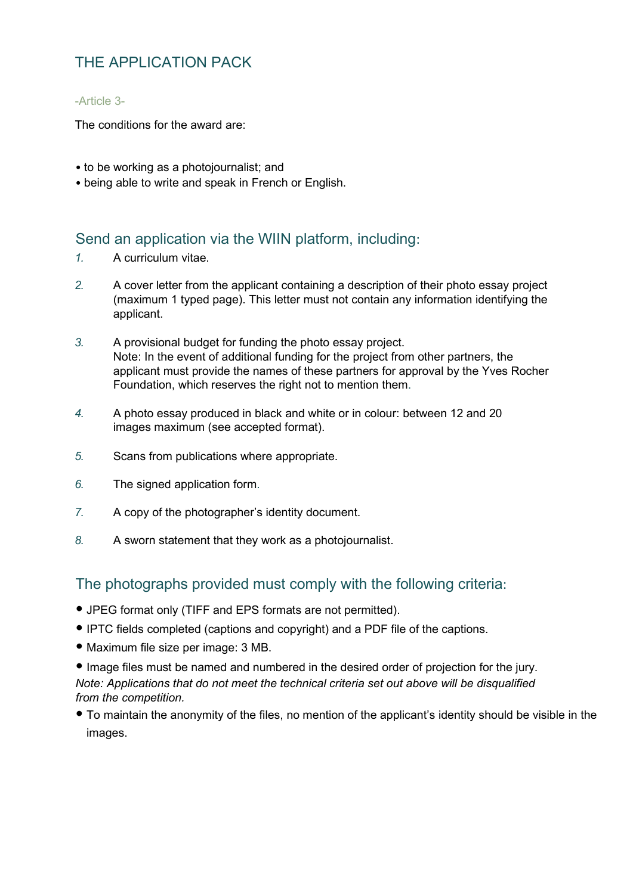## THE APPLICATION PACK

#### -Article 3-

The conditions for the award are:

- to be working as a photojournalist; and
- being able to write and speak in French or English.

### Send an application via the WIIN platform, including:

- *1.* A curriculum vitae.
- *2.* A cover letter from the applicant containing a description of their photo essay project (maximum 1 typed page). This letter must not contain any information identifying the applicant.
- *3.* A provisional budget for funding the photo essay project. Note: In the event of additional funding for the project from other partners, the applicant must provide the names of these partners for approval by the Yves Rocher Foundation, which reserves the right not to mention them.
- *4.* A photo essay produced in black and white or in colour: between 12 and 20 images maximum (see accepted format).
- *5.* Scans from publications where appropriate.
- *6.* The signed application form.
- *7.* A copy of the photographer's identity document.
- *8.* A sworn statement that they work as a photojournalist.

The photographs provided must comply with the following criteria:

- JPEG format only (TIFF and EPS formats are not permitted).
- IPTC fields completed (captions and copyright) and a PDF file of the captions.
- Maximum file size per image: 3 MB.
- Image files must be named and numbered in the desired order of projection for the jury. *Note: Applications that do not meet the technical criteria set out above will be disqualified from the competition.*
- To maintain the anonymity of the files, no mention of the applicant's identity should be visible in the images.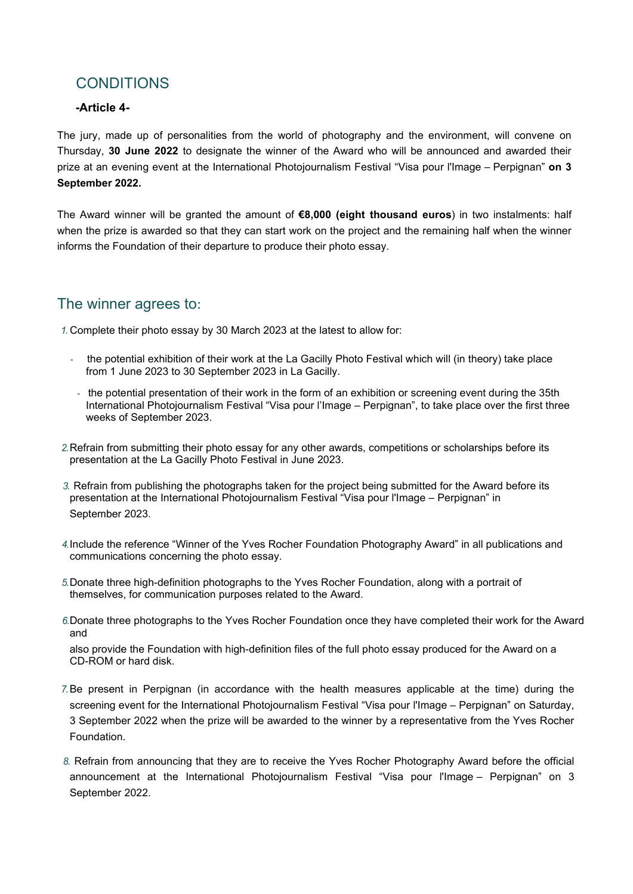### **CONDITIONS**

#### **-Article 4-**

The jury, made up of personalities from the world of photography and the environment, will convene on Thursday, **30 June 2022** to designate the winner of the Award who will be announced and awarded their prize at an evening event at the International Photojournalism Festival "Visa pour l'Image – Perpignan" **on 3 September 2022.**

The Award winner will be granted the amount of **€8,000 (eight thousand euros**) in two instalments: half when the prize is awarded so that they can start work on the project and the remaining half when the winner informs the Foundation of their departure to produce their photo essay.

### The winner agrees to:

*1.* Complete their photo essay by 30 March 2023 at the latest to allow for:

- the potential exhibition of their work at the La Gacilly Photo Festival which will (in theory) take place from 1 June 2023 to 30 September 2023 in La Gacilly.
- the potential presentation of their work in the form of an exhibition or screening event during the 35th International Photojournalism Festival "Visa pour l'Image – Perpignan", to take place over the first three weeks of September 2023.
- *2.*Refrain from submitting their photo essay for any other awards, competitions or scholarships before its presentation at the La Gacilly Photo Festival in June 2023.
- *3.* Refrain from publishing the photographs taken for the project being submitted for the Award before its presentation at the International Photojournalism Festival "Visa pour l'Image – Perpignan" in September 2023.
- *4.*Include the reference "Winner of the Yves Rocher Foundation Photography Award" in all publications and communications concerning the photo essay.
- *5.*Donate three high-definition photographs to the Yves Rocher Foundation, along with a portrait of themselves, for communication purposes related to the Award.
- *6.*Donate three photographs to the Yves Rocher Foundation once they have completed their work for the Award and

also provide the Foundation with high-definition files of the full photo essay produced for the Award on a CD-ROM or hard disk.

- *7.*Be present in Perpignan (in accordance with the health measures applicable at the time) during the screening event for the International Photojournalism Festival "Visa pour l'Image – Perpignan" on Saturday, 3 September 2022 when the prize will be awarded to the winner by a representative from the Yves Rocher Foundation.
- *8.* Refrain from announcing that they are to receive the Yves Rocher Photography Award before the official announcement at the International Photojournalism Festival "Visa pour l'Image – Perpignan" on 3 September 2022.